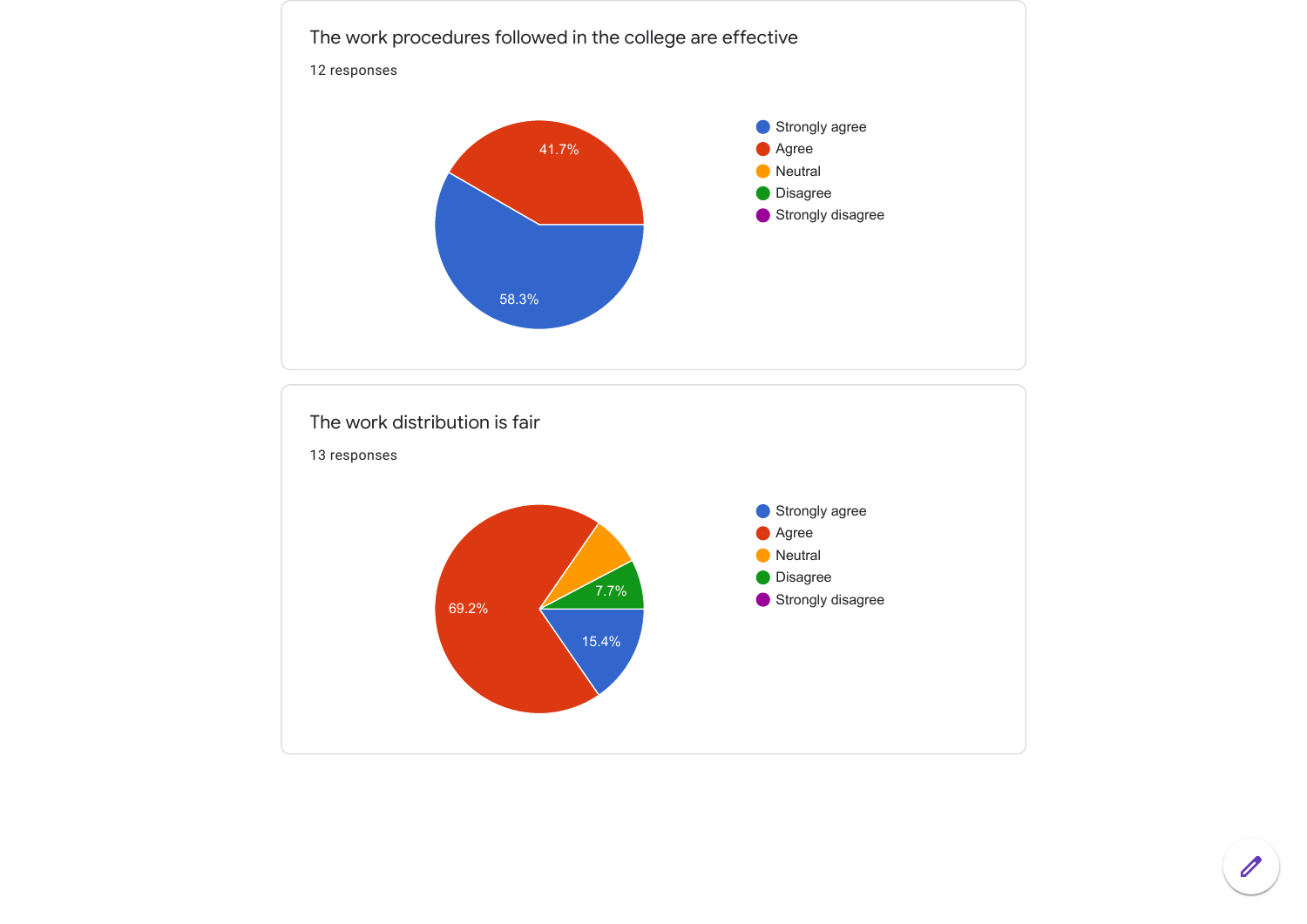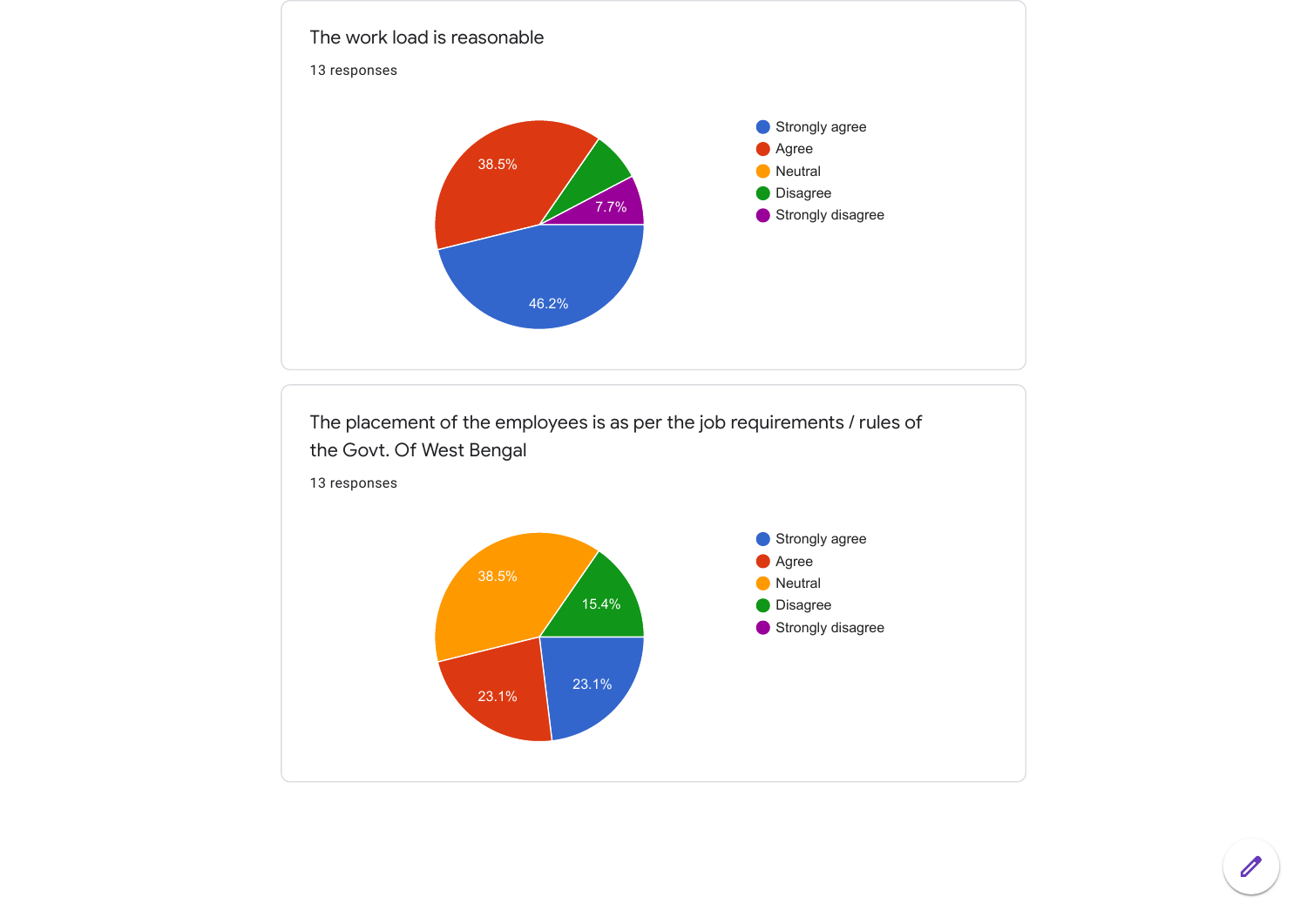

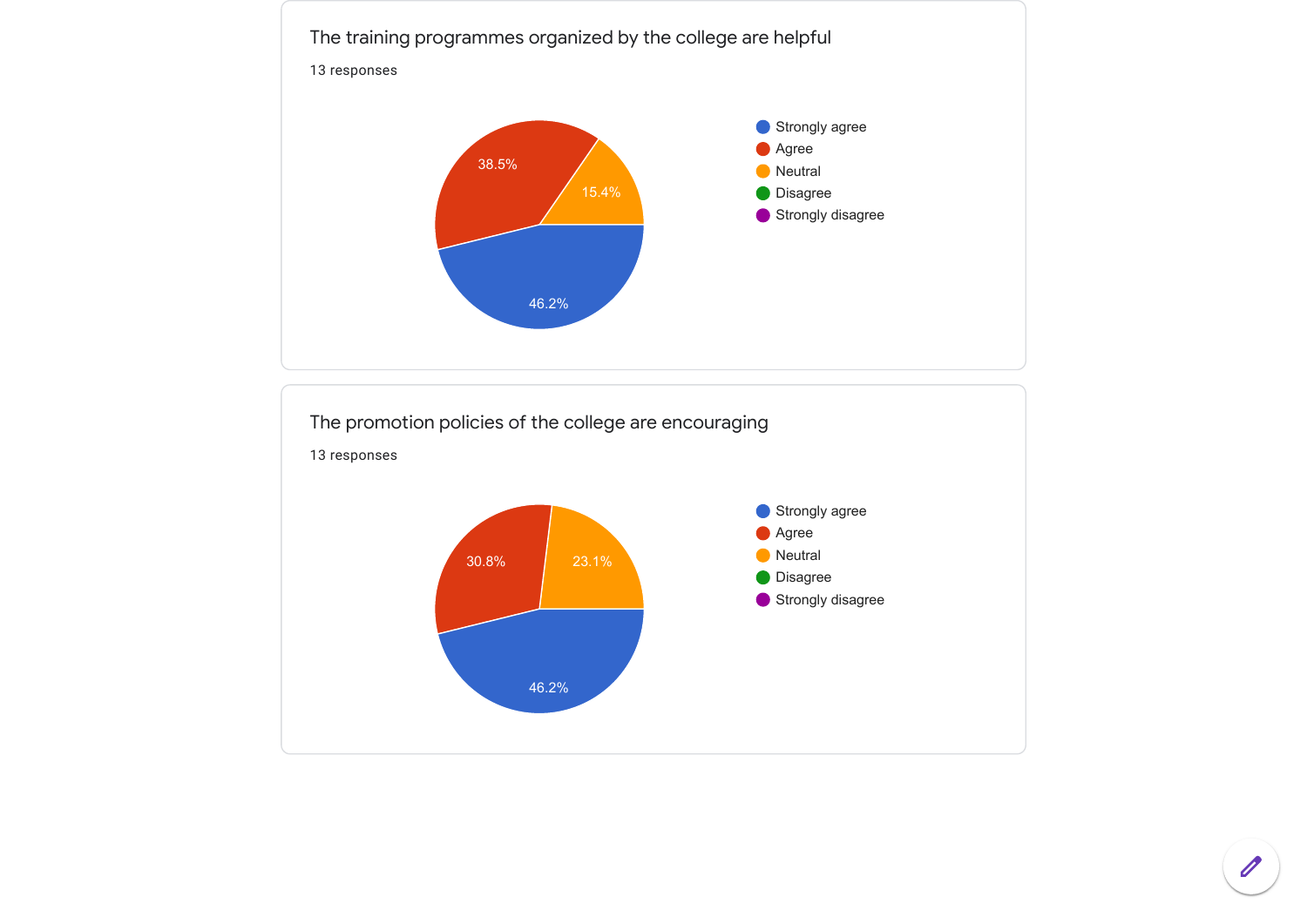

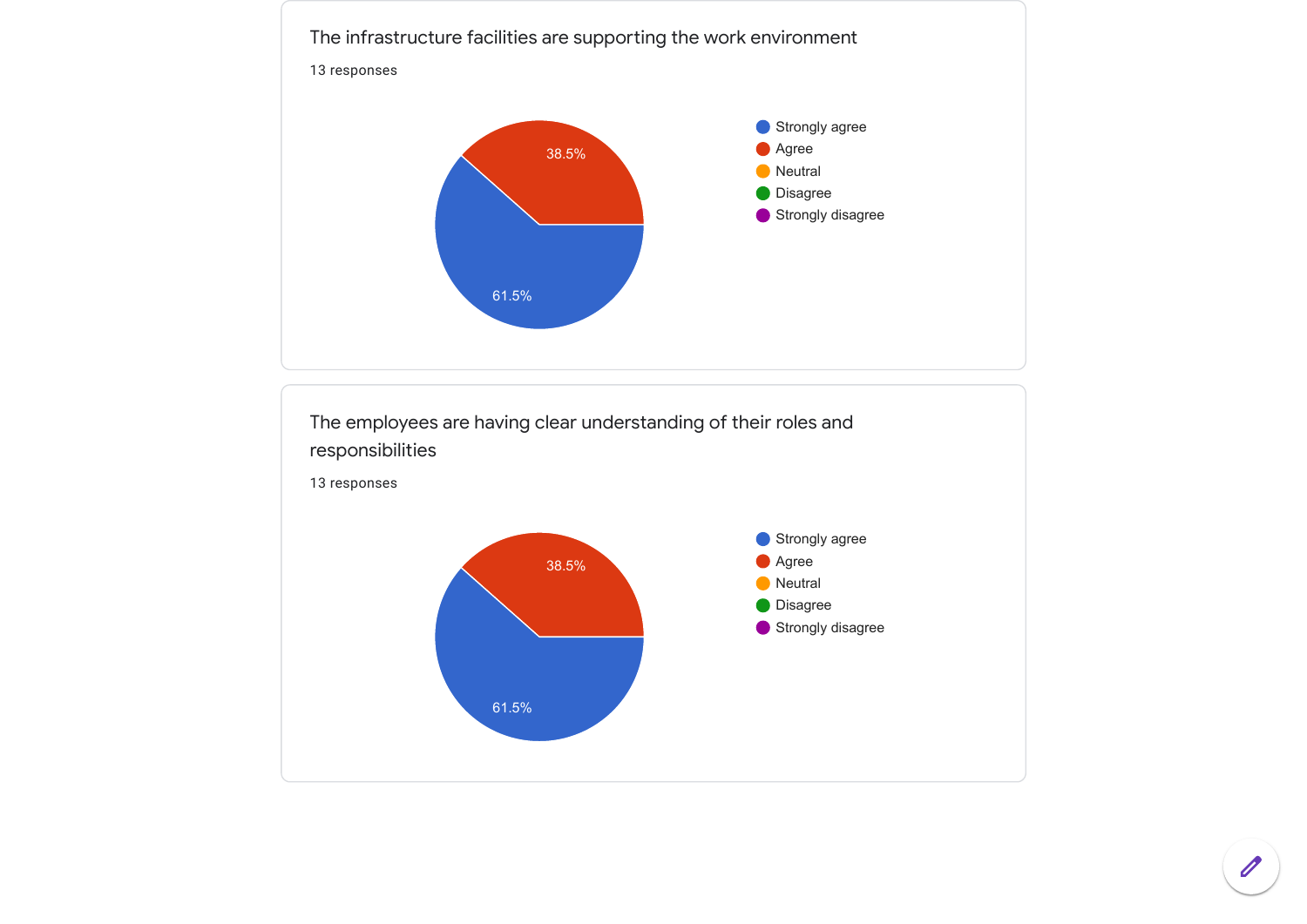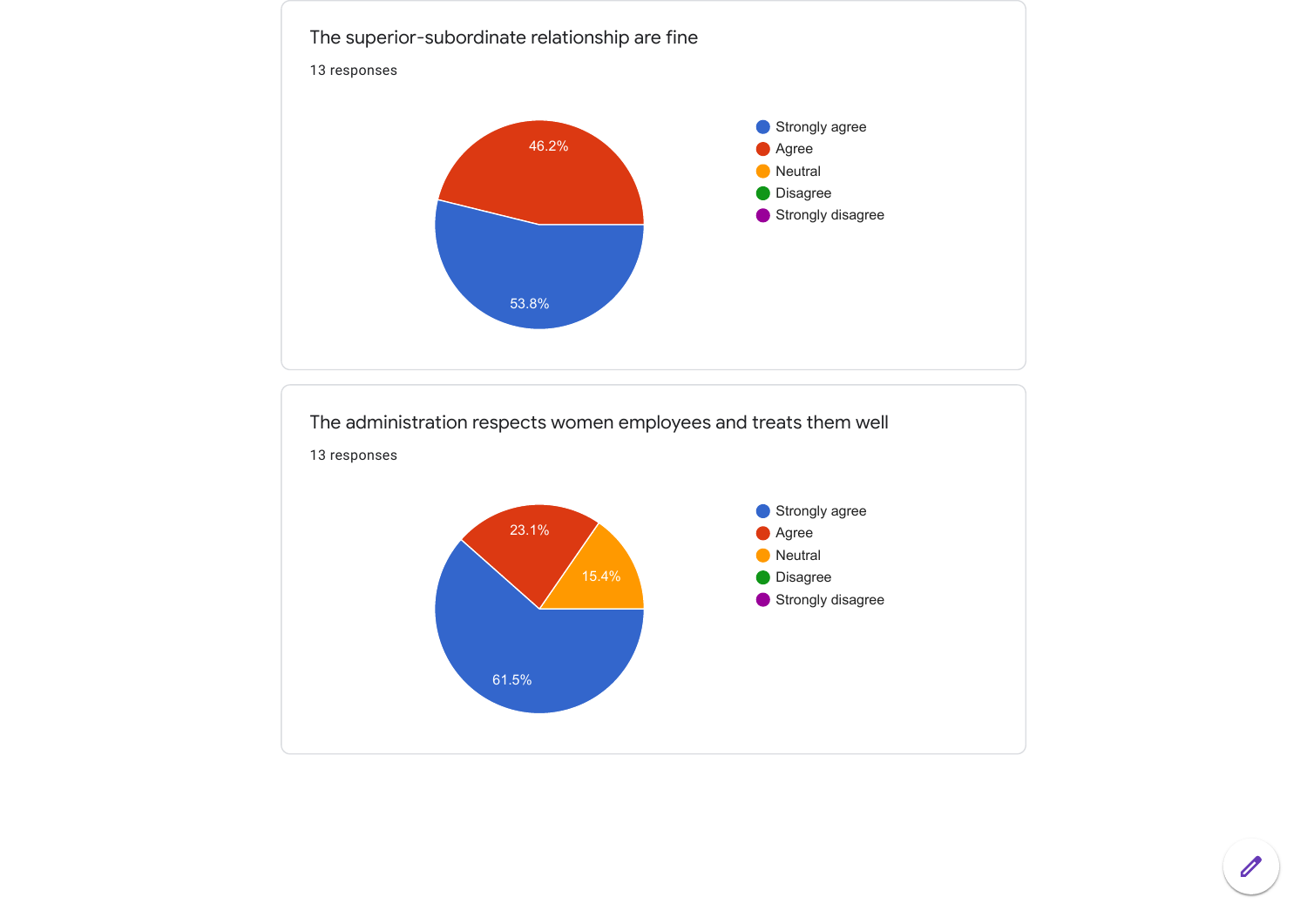

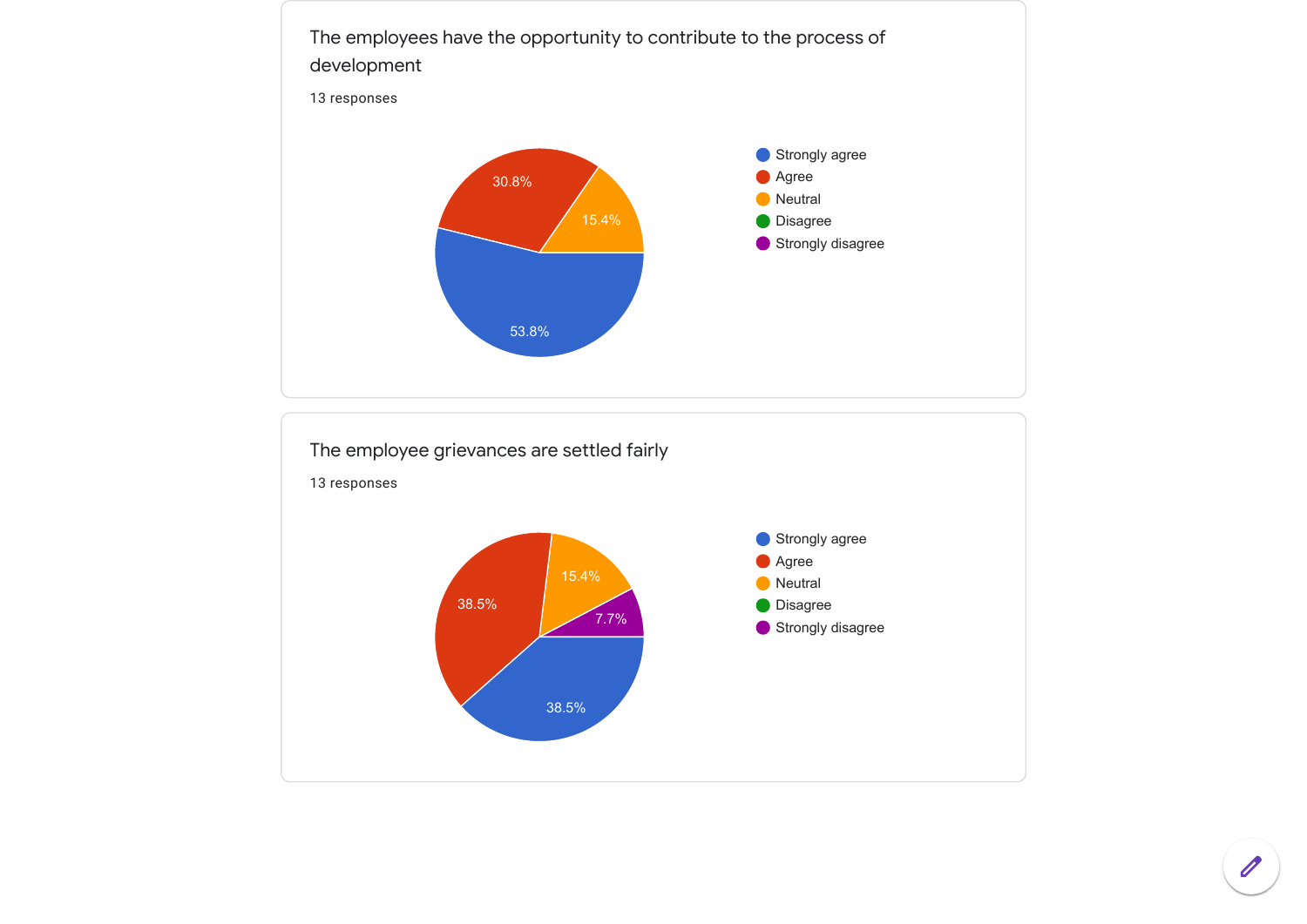